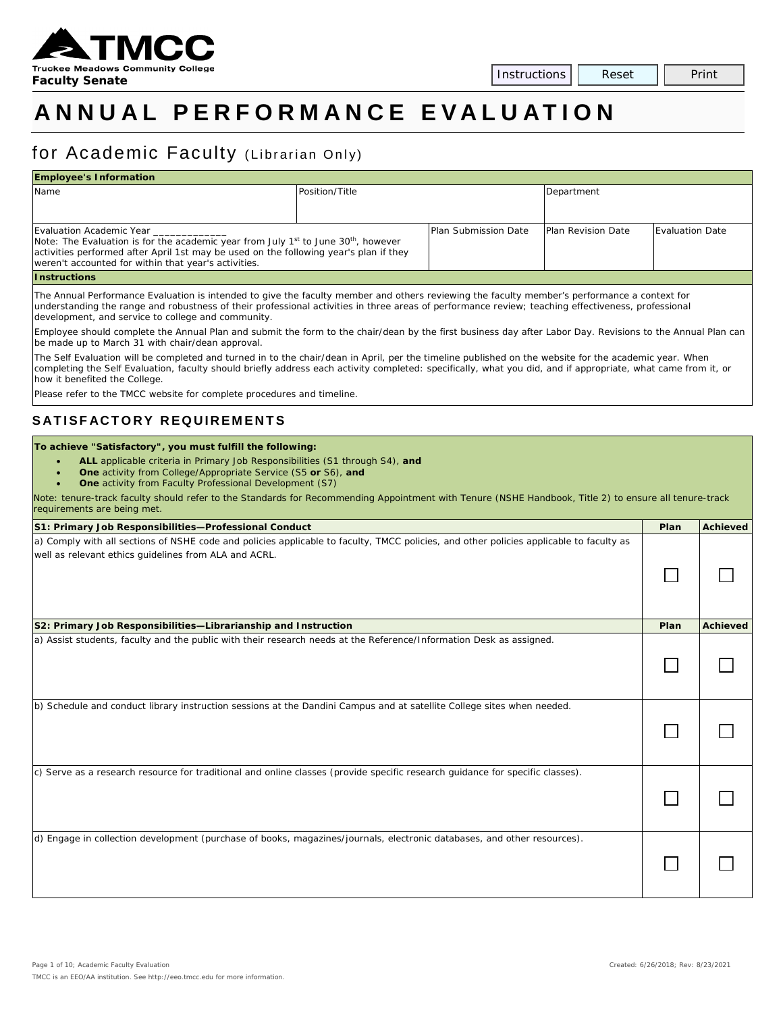

# **ANNUAL PERFORMANCE E VALUATION**

## for Academic Faculty (Librarian Only)

| <b>Employee's Information</b>                                                                                                                                                                                                                                                           |                |                             |                           |                        |  |  |
|-----------------------------------------------------------------------------------------------------------------------------------------------------------------------------------------------------------------------------------------------------------------------------------------|----------------|-----------------------------|---------------------------|------------------------|--|--|
| Name                                                                                                                                                                                                                                                                                    | Position/Title |                             | Department                |                        |  |  |
| Evaluation Academic Year<br>Note: The Evaluation is for the academic year from July 1 <sup>st</sup> to June 30 <sup>th</sup> , however<br>activities performed after April 1st may be used on the following year's plan if they<br>weren't accounted for within that year's activities. |                | <b>Plan Submission Date</b> | <b>Plan Revision Date</b> | <b>Evaluation Date</b> |  |  |
| <b>Instructions</b>                                                                                                                                                                                                                                                                     |                |                             |                           |                        |  |  |

The Annual Performance Evaluation is intended to give the faculty member and others reviewing the faculty member's performance a context for understanding the range and robustness of their professional activities in three areas of performance review; teaching effectiveness, professional development, and service to college and community.

Employee should complete the Annual Plan and submit the form to the chair/dean by the first business day after Labor Day. Revisions to the Annual Plan can be made up to March 31 with chair/dean approval.

The Self Evaluation will be completed and turned in to the chair/dean in April, per the timeline published on the website for the academic year. When completing the Self Evaluation, faculty should briefly address each activity completed: specifically, what you did, and if appropriate, what came from it, or how it benefited the College.

Please refer to the TMCC website for complete procedures and timeline.

#### **SATISFACTORY REQUIREMENTS**

#### **To achieve "Satisfactory", you must fulfill the following:**

- **ALL** applicable criteria in Primary Job Responsibilities (S1 through S4), *and*
	- **One** activity from College/Appropriate Service (S5 *or* S6), *and*
	- **One** activity from Faculty Professional Development (S7)

*Note: tenure-track faculty should refer to the Standards for Recommending Appointment with Tenure (NSHE Handbook, Title 2) to ensure all tenure-track requirements are being met.*

| S1: Primary Job Responsibilities-Professional Conduct                                                                                                                                            | Plan | <b>Achieved</b> |
|--------------------------------------------------------------------------------------------------------------------------------------------------------------------------------------------------|------|-----------------|
| a) Comply with all sections of NSHE code and policies applicable to faculty, TMCC policies, and other policies applicable to faculty as<br>well as relevant ethics guidelines from ALA and ACRL. |      |                 |
| S2: Primary Job Responsibilities-Librarianship and Instruction                                                                                                                                   | Plan | <b>Achieved</b> |
| a) Assist students, faculty and the public with their research needs at the Reference/Information Desk as assigned.                                                                              |      |                 |
| b) Schedule and conduct library instruction sessions at the Dandini Campus and at satellite College sites when needed.                                                                           |      |                 |
| $c$ ) Serve as a research resource for traditional and online classes (provide specific research guidance for specific classes).                                                                 |      |                 |
| d) Engage in collection development (purchase of books, magazines/journals, electronic databases, and other resources).                                                                          |      |                 |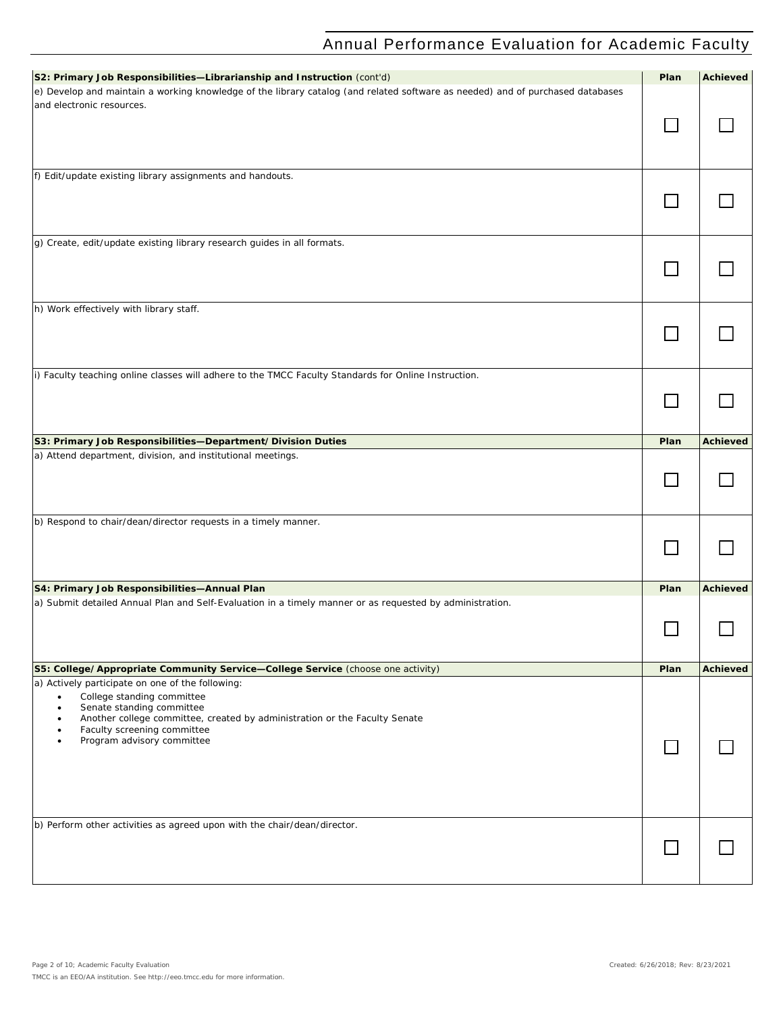| S2: Primary Job Responsibilities-Librarianship and Instruction (cont'd)                                                                                                                                                                                                                            | Plan | <b>Achieved</b> |
|----------------------------------------------------------------------------------------------------------------------------------------------------------------------------------------------------------------------------------------------------------------------------------------------------|------|-----------------|
| e) Develop and maintain a working knowledge of the library catalog (and related software as needed) and of purchased databases<br>and electronic resources.                                                                                                                                        |      |                 |
|                                                                                                                                                                                                                                                                                                    |      |                 |
| f) Edit/update existing library assignments and handouts.                                                                                                                                                                                                                                          |      |                 |
|                                                                                                                                                                                                                                                                                                    |      |                 |
| g) Create, edit/update existing library research guides in all formats.                                                                                                                                                                                                                            |      |                 |
| h) Work effectively with library staff.                                                                                                                                                                                                                                                            |      |                 |
| i) Faculty teaching online classes will adhere to the TMCC Faculty Standards for Online Instruction.                                                                                                                                                                                               |      |                 |
|                                                                                                                                                                                                                                                                                                    |      |                 |
| S3: Primary Job Responsibilities-Department/Division Duties                                                                                                                                                                                                                                        | Plan | <b>Achieved</b> |
| a) Attend department, division, and institutional meetings.                                                                                                                                                                                                                                        |      |                 |
| b) Respond to chair/dean/director requests in a timely manner.                                                                                                                                                                                                                                     |      |                 |
| S4: Primary Job Responsibilities-Annual Plan                                                                                                                                                                                                                                                       | Plan | <b>Achieved</b> |
| a) Submit detailed Annual Plan and Self-Evaluation in a timely manner or as requested by administration.                                                                                                                                                                                           |      |                 |
| S5: College/Appropriate Community Service-College Service (choose one activity)                                                                                                                                                                                                                    | Plan | <b>Achieved</b> |
| a) Actively participate on one of the following:<br>College standing committee<br>Senate standing committee<br>$\bullet$<br>Another college committee, created by administration or the Faculty Senate<br>$\bullet$<br>Faculty screening committee<br>٠<br>Program advisory committee<br>$\bullet$ |      |                 |
| b) Perform other activities as agreed upon with the chair/dean/director.                                                                                                                                                                                                                           |      |                 |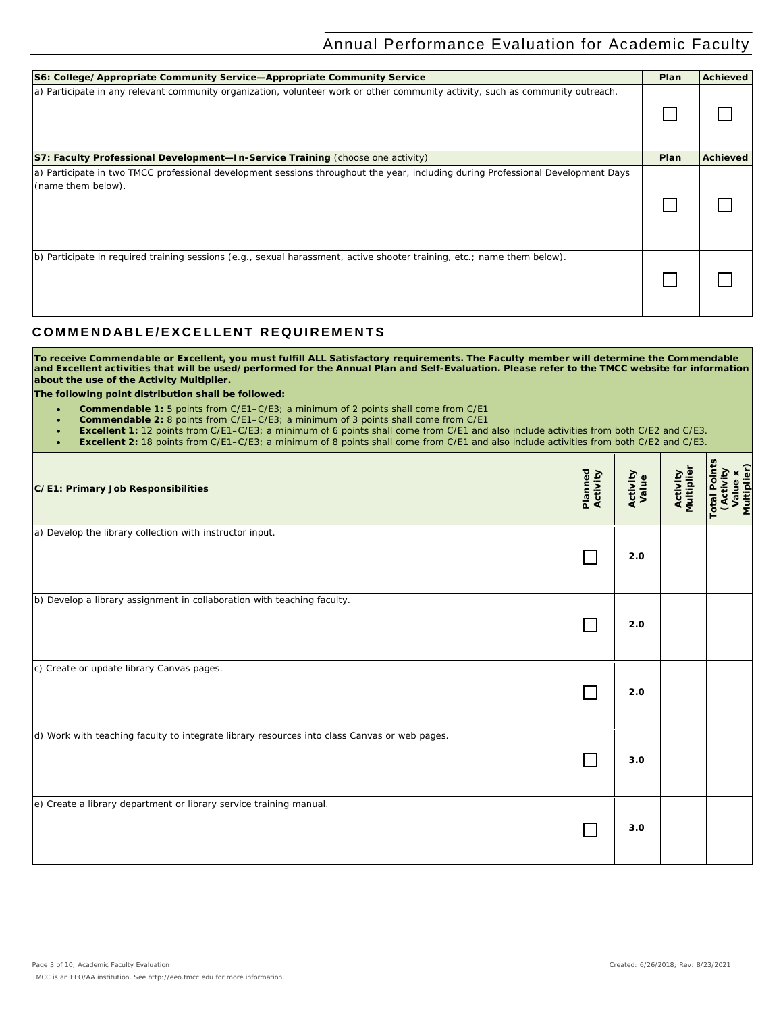| S6: College/Appropriate Community Service-Appropriate Community Service                                                                                | Plan | Achieved        |
|--------------------------------------------------------------------------------------------------------------------------------------------------------|------|-----------------|
| a) Participate in any relevant community organization, volunteer work or other community activity, such as community outreach.                         |      |                 |
| <b>S7: Faculty Professional Development—In-Service Training (choose one activity)</b>                                                                  | Plan | <b>Achieved</b> |
| a) Participate in two TMCC professional development sessions throughout the year, including during Professional Development Days<br>(name them below). |      |                 |
| b) Participate in required training sessions (e.g., sexual harassment, active shooter training, etc.; name them below).                                |      |                 |

### **C OMMENDABLE/EXCELLENT REQUIREMENTS**

**To receive Commendable or Excellent, you must fulfill ALL Satisfactory requirements. The Faculty member will determine the Commendable and Excellent activities that will be used/performed for the Annual Plan and Self-Evaluation. Please refer to the TMCC website for information about the use of the Activity Multiplier.**

**The following point distribution shall be followed:**

- **Commendable 1:** 5 points from C/E1–C/E3; a minimum of 2 points shall come from C/E1
- **Commendable 2:** 8 points from C/E1–C/E3; a minimum of 3 points shall come from C/E1
- **Excellent 1:** 12 points from C/E1–C/E3; a minimum of 6 points shall come from C/E1 and also include activities from both C/E2 and C/E3.
- **Excellent 2:** 18 points from C/E1–C/E3; a minimum of 8 points shall come from C/E1 and also include activities from both C/E2 and C/E3.

| C/E1: Primary Job Responsibilities                                                           | Planned<br>Activity | Activity<br>Value | <b>Activity</b><br>Multiplier | <b>Total Points</b><br>Value x<br>Multiplier)<br>(Activity |
|----------------------------------------------------------------------------------------------|---------------------|-------------------|-------------------------------|------------------------------------------------------------|
| a) Develop the library collection with instructor input.                                     |                     | 2.0               |                               |                                                            |
| b) Develop a library assignment in collaboration with teaching faculty.                      |                     | 2.0               |                               |                                                            |
| c) Create or update library Canvas pages.                                                    |                     | 2.0               |                               |                                                            |
| d) Work with teaching faculty to integrate library resources into class Canvas or web pages. |                     | 3.0               |                               |                                                            |
| e) Create a library department or library service training manual.                           |                     | 3.0               |                               |                                                            |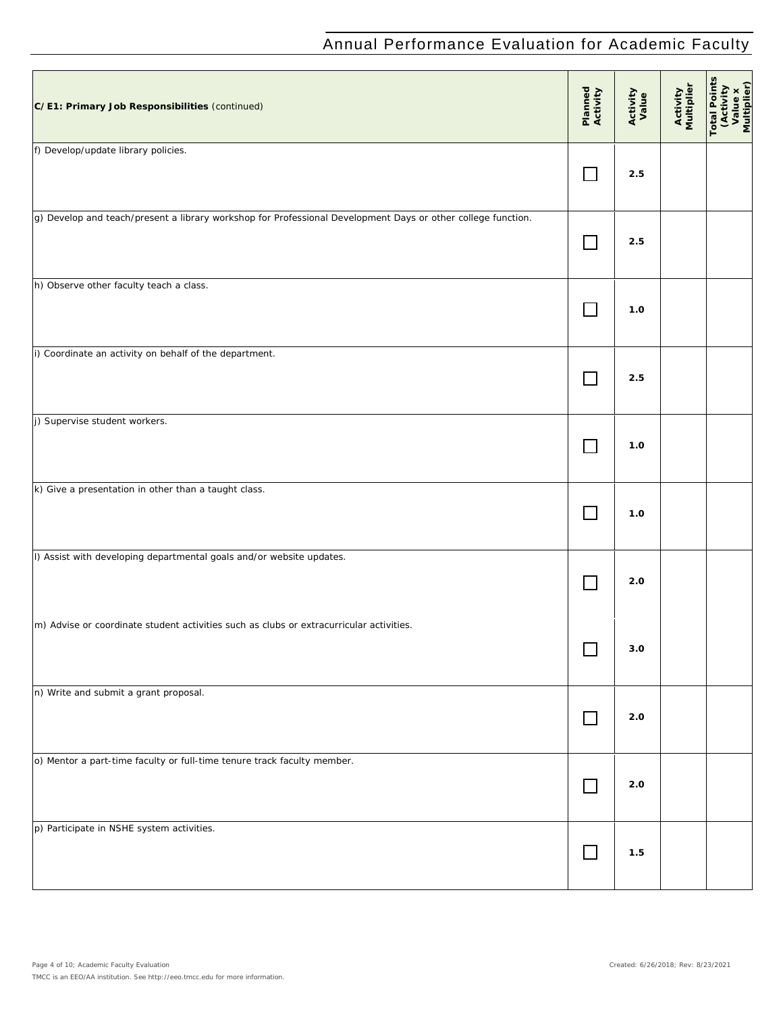| C/E1: Primary Job Responsibilities (continued)                                                               | Planned<br>Activity | Activity<br>Value | Activity<br>Multiplier | <b>Total Points</b><br>(Activity<br>Value x<br>Multiplier) |
|--------------------------------------------------------------------------------------------------------------|---------------------|-------------------|------------------------|------------------------------------------------------------|
| f) Develop/update library policies.                                                                          | $\Box$              | 2.5               |                        |                                                            |
| g) Develop and teach/present a library workshop for Professional Development Days or other college function. | $\Box$              | 2.5               |                        |                                                            |
| h) Observe other faculty teach a class.                                                                      | П                   | 1.0               |                        |                                                            |
| i) Coordinate an activity on behalf of the department.                                                       | $\Box$              | 2.5               |                        |                                                            |
| j) Supervise student workers.                                                                                |                     | 1.0               |                        |                                                            |
| k) Give a presentation in other than a taught class.                                                         |                     | 1.0               |                        |                                                            |
| I) Assist with developing departmental goals and/or website updates.                                         | $\mathbf{I}$        | 2.0               |                        |                                                            |
| m) Advise or coordinate student activities such as clubs or extracurricular activities.                      |                     | $3.0\,$           |                        |                                                            |
| n) Write and submit a grant proposal.                                                                        | $\Box$              | 2.0               |                        |                                                            |
| o) Mentor a part-time faculty or full-time tenure track faculty member.                                      | $\Box$              | 2.0               |                        |                                                            |
| p) Participate in NSHE system activities.                                                                    | $\Box$              | 1.5               |                        |                                                            |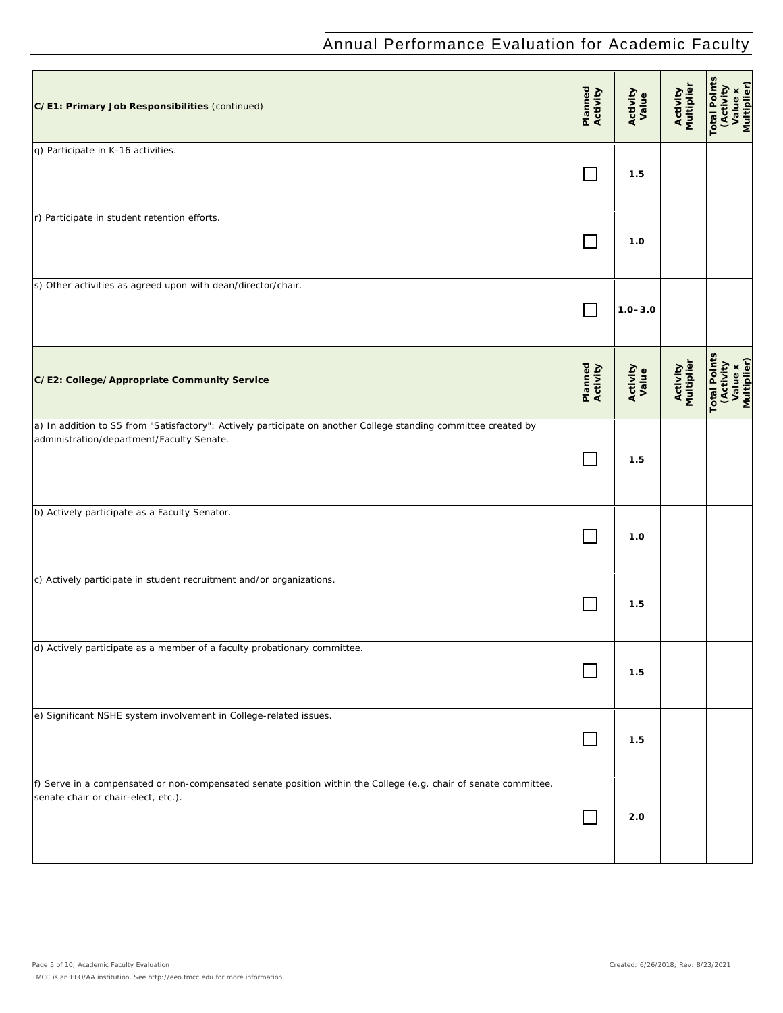| C/E1: Primary Job Responsibilities (continued)                                                                                                               | Planned<br>Activity | Activity<br>Value | Activity<br>Multiplier        | <b>Total Points</b><br>(Activity<br>Value x<br>Multiplier)  |
|--------------------------------------------------------------------------------------------------------------------------------------------------------------|---------------------|-------------------|-------------------------------|-------------------------------------------------------------|
| q) Participate in K-16 activities.                                                                                                                           |                     | 1.5               |                               |                                                             |
| r) Participate in student retention efforts.                                                                                                                 | $\mathbf{I}$        | 1.0               |                               |                                                             |
| s) Other activities as agreed upon with dean/director/chair.                                                                                                 |                     | $1.0 - 3.0$       |                               |                                                             |
| C/E2: College/Appropriate Community Service                                                                                                                  | Planned<br>Activity | Activity<br>Value | <b>Activity</b><br>Multiplier | <b>Total Points</b><br>(Activity)<br>Value x<br>Multiplier) |
| a) In addition to S5 from "Satisfactory": Actively participate on another College standing committee created by<br>administration/department/Faculty Senate. | $\Box$              | 1.5               |                               |                                                             |
| b) Actively participate as a Faculty Senator.                                                                                                                |                     | 1.0               |                               |                                                             |
| c) Actively participate in student recruitment and/or organizations.                                                                                         |                     | 1.5               |                               |                                                             |
| d) Actively participate as a member of a faculty probationary committee.                                                                                     |                     | 1.5               |                               |                                                             |
| e) Significant NSHE system involvement in College-related issues.                                                                                            | $\Box$              | 1.5               |                               |                                                             |
| f) Serve in a compensated or non-compensated senate position within the College (e.g. chair of senate committee,<br>senate chair or chair-elect, etc.).      | $\Box$              | 2.0               |                               |                                                             |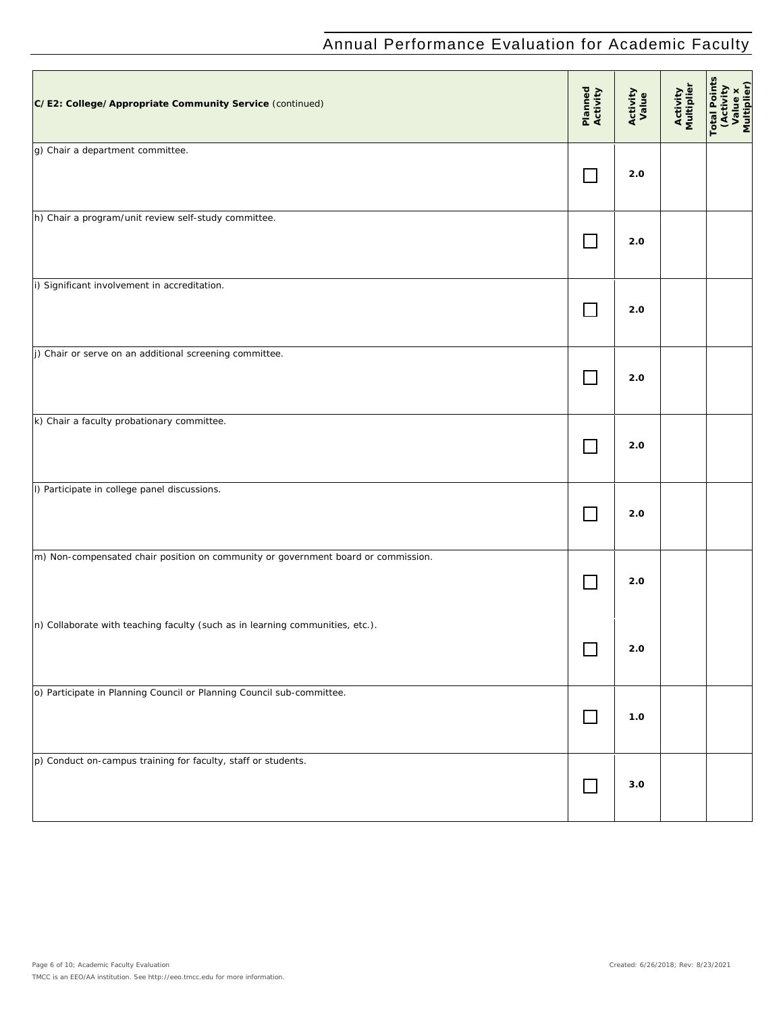| C/E2: College/Appropriate Community Service (continued)                           | Planned<br>Activity         | Activity<br>Value | Activity<br>Multiplier | Total Points<br>(Activity<br>Value x<br>Multiplier) |
|-----------------------------------------------------------------------------------|-----------------------------|-------------------|------------------------|-----------------------------------------------------|
| g) Chair a department committee.                                                  | $\vert \ \ \vert$           | 2.0               |                        |                                                     |
| h) Chair a program/unit review self-study committee.                              | $\Box$                      | 2.0               |                        |                                                     |
| i) Significant involvement in accreditation.                                      | $\Box$                      | $2.0\,$           |                        |                                                     |
| j) Chair or serve on an additional screening committee.                           | $\mathbb{R}^n$              | 2.0               |                        |                                                     |
| k) Chair a faculty probationary committee.                                        | $\mathcal{L}_{\mathcal{A}}$ | 2.0               |                        |                                                     |
| I) Participate in college panel discussions.                                      | $\Box$                      | 2.0               |                        |                                                     |
| m) Non-compensated chair position on community or government board or commission. | $\Box$                      | 2.0               |                        |                                                     |
| n) Collaborate with teaching faculty (such as in learning communities, etc.).     | ─                           | 2.0               |                        |                                                     |
| o) Participate in Planning Council or Planning Council sub-committee.             | $\Box$                      | 1.0               |                        |                                                     |
| p) Conduct on-campus training for faculty, staff or students.                     | $\Box$                      | 3.0               |                        |                                                     |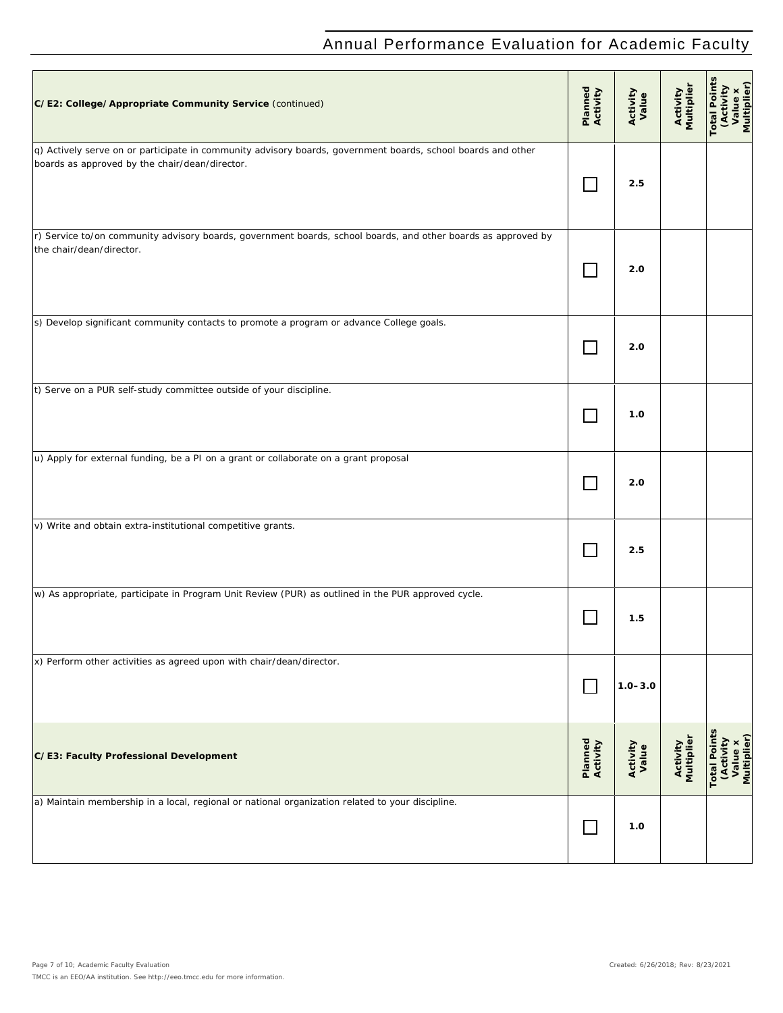| C/E2: College/Appropriate Community Service (continued)                                                                                                        | Planned<br>Activity | Activity<br>Value | Activity<br>Multiplier        | <b>Total Points</b><br>(Activity<br>Value x<br>Multiplier) |
|----------------------------------------------------------------------------------------------------------------------------------------------------------------|---------------------|-------------------|-------------------------------|------------------------------------------------------------|
| q) Actively serve on or participate in community advisory boards, government boards, school boards and other<br>boards as approved by the chair/dean/director. |                     | 2.5               |                               |                                                            |
| r) Service to/on community advisory boards, government boards, school boards, and other boards as approved by<br>the chair/dean/director.                      |                     | 2.0               |                               |                                                            |
| s) Develop significant community contacts to promote a program or advance College goals.                                                                       |                     | 2.0               |                               |                                                            |
| t) Serve on a PUR self-study committee outside of your discipline.                                                                                             |                     | 1.0               |                               |                                                            |
| u) Apply for external funding, be a PI on a grant or collaborate on a grant proposal                                                                           |                     | 2.0               |                               |                                                            |
| v) Write and obtain extra-institutional competitive grants.                                                                                                    |                     | 2.5               |                               |                                                            |
| w) As appropriate, participate in Program Unit Review (PUR) as outlined in the PUR approved cycle.                                                             |                     | 1.5               |                               |                                                            |
| x) Perform other activities as agreed upon with chair/dean/director.                                                                                           |                     | $1.0 - 3.0$       |                               |                                                            |
| C/E3: Faculty Professional Development                                                                                                                         | Planned<br>Activity | Activity<br>Value | <b>Activity</b><br>Multiplier | <b>Total Points</b><br>(Activity<br>Value x<br>Multiplier) |
| a) Maintain membership in a local, regional or national organization related to your discipline.                                                               |                     | 1.0               |                               |                                                            |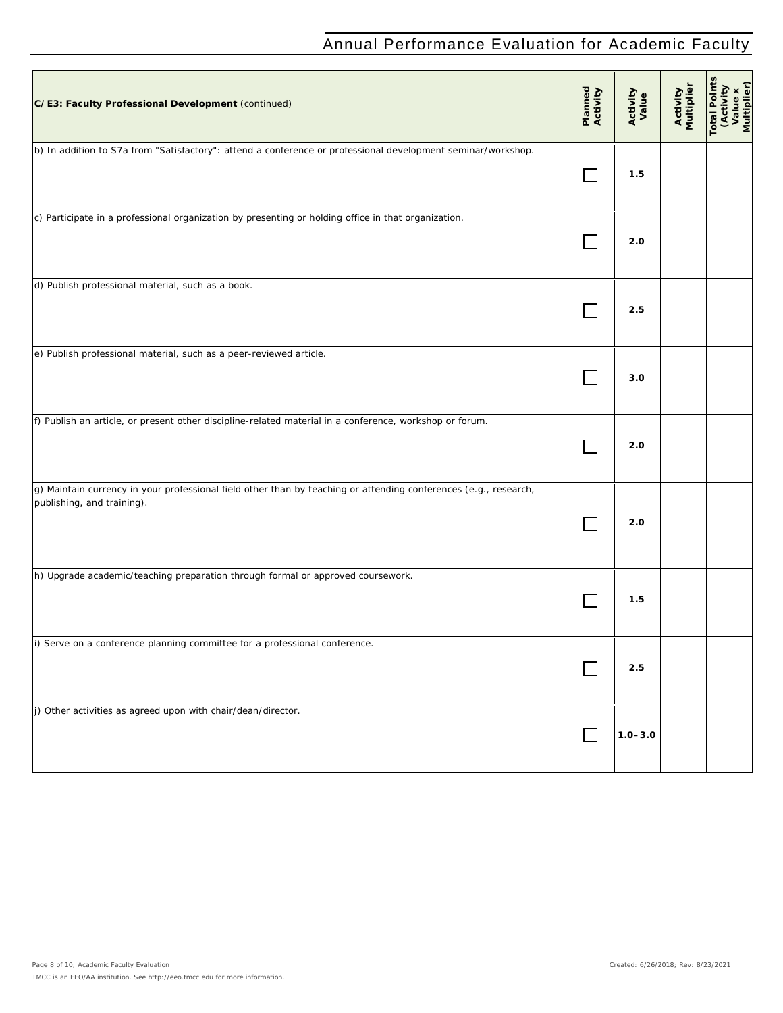| C/E3: Faculty Professional Development (continued)                                                                                             | Planned<br>Activity | Activity<br>Value | Activity<br>Multiplier | Total Points<br>(Activity<br>Value x<br>Multiplier) |
|------------------------------------------------------------------------------------------------------------------------------------------------|---------------------|-------------------|------------------------|-----------------------------------------------------|
| b) In addition to S7a from "Satisfactory": attend a conference or professional development seminar/workshop.                                   | $\mathbb{R}^n$      | 1.5               |                        |                                                     |
| c) Participate in a professional organization by presenting or holding office in that organization.                                            |                     | 2.0               |                        |                                                     |
| d) Publish professional material, such as a book.                                                                                              |                     | 2.5               |                        |                                                     |
| e) Publish professional material, such as a peer-reviewed article.                                                                             |                     | 3.0               |                        |                                                     |
| f) Publish an article, or present other discipline-related material in a conference, workshop or forum.                                        |                     | 2.0               |                        |                                                     |
| g) Maintain currency in your professional field other than by teaching or attending conferences (e.g., research,<br>publishing, and training). |                     | 2.0               |                        |                                                     |
| h) Upgrade academic/teaching preparation through formal or approved coursework.                                                                |                     | 1.5               |                        |                                                     |
| i) Serve on a conference planning committee for a professional conference.                                                                     |                     | 2.5               |                        |                                                     |
| j) Other activities as agreed upon with chair/dean/director.                                                                                   | $\sim$ 1            | $1.0 - 3.0$       |                        |                                                     |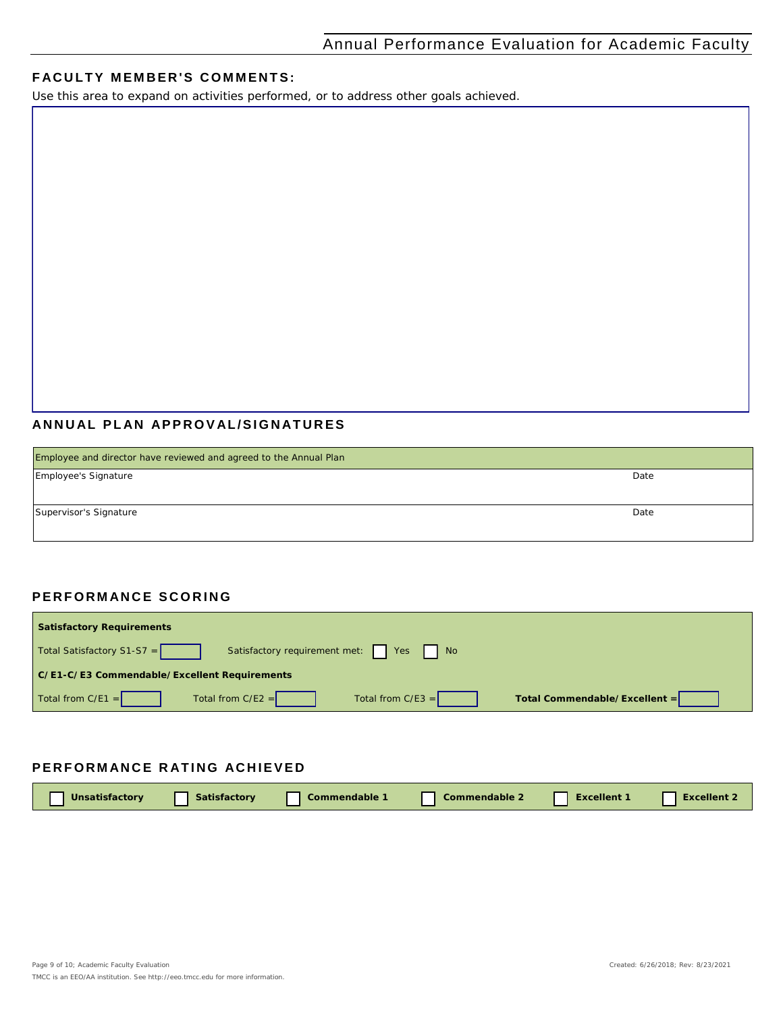#### **FACULTY MEMBER'S COMMENTS:**

*Use this area to expand on activities performed, or to address other goals achieved.*

### **ANNUAL PLAN APPROVAL /SIGNATURES**

| Employee and director have reviewed and agreed to the Annual Plan |      |
|-------------------------------------------------------------------|------|
| Employee's Signature                                              | Date |
|                                                                   |      |
| Supervisor's Signature                                            | Date |
|                                                                   |      |

### **PERFORMANCE SCORING**

| <b>Satisfactory Requirements</b>                                           |                               |
|----------------------------------------------------------------------------|-------------------------------|
| Satisfactory requirement met:     Yes     No<br>Total Satisfactory S1-S7 = |                               |
| C/E1-C/E3 Commendable/Excellent Requirements                               |                               |
| $\vert$ Total from C/E1 =<br>Total from $C/E2 =$<br>Total from $C/E3 =$    | Total Commendable/Excellent = |

### **PERFORMANCE RATING ACHIEVED**

| Unsatisfactory | <b>Satisfactory</b> | Commendable | Commendable 2 | <b>Excellent</b> | $\mathsf{\lceil}$ xcellent. |
|----------------|---------------------|-------------|---------------|------------------|-----------------------------|
|                |                     |             |               |                  |                             |